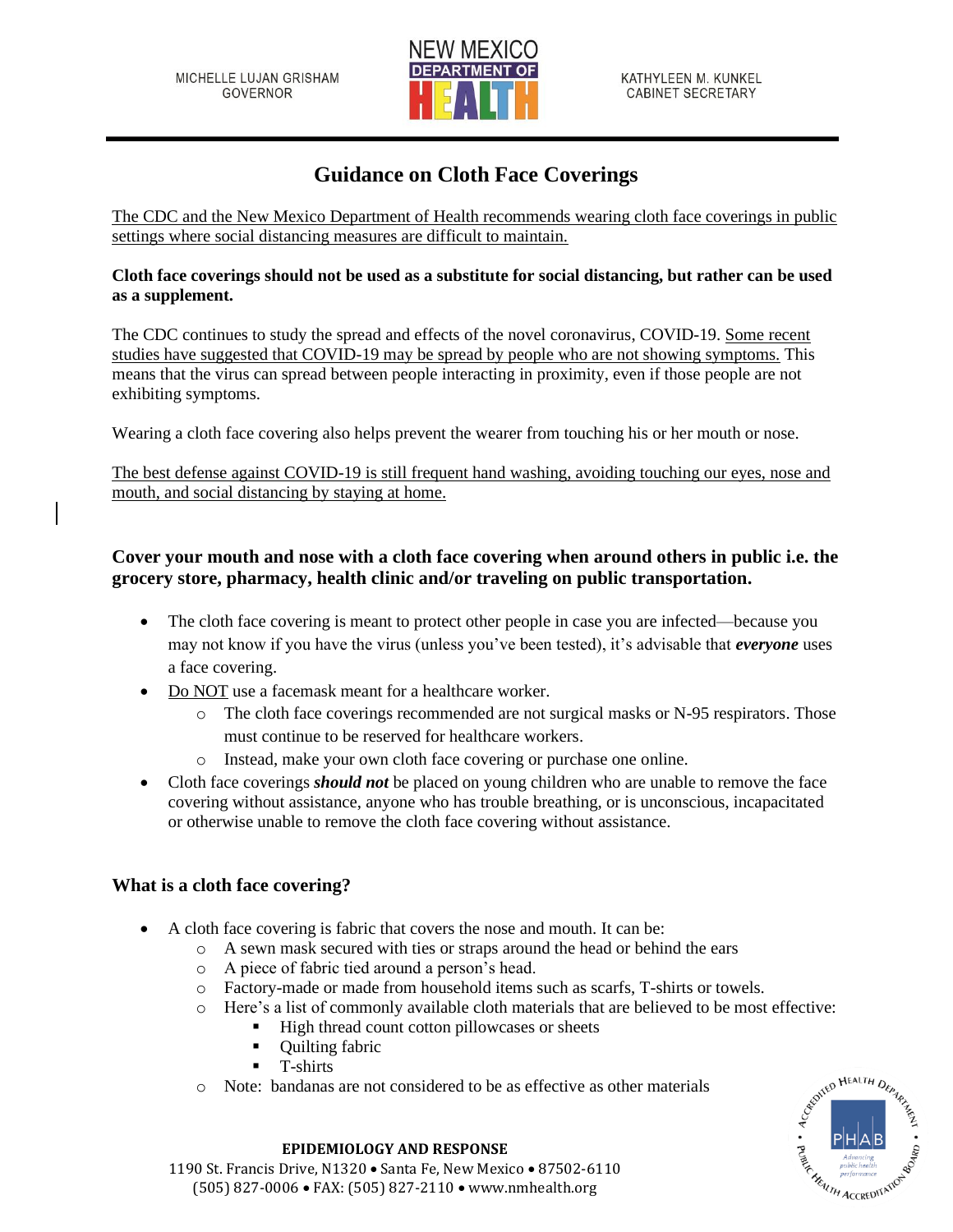

# **Guidance on Cloth Face Coverings**

The CDC and the New Mexico Department of Health recommends wearing cloth face coverings in public settings where social distancing measures are difficult to maintain.

### **Cloth face coverings should not be used as a substitute for social distancing, but rather can be used as a supplement.**

The CDC continues to study the spread and effects of the novel coronavirus, COVID-19. Some recent studies have suggested that COVID-19 may be spread by people who are not showing symptoms. This means that the virus can spread between people interacting in proximity, even if those people are not exhibiting symptoms.

Wearing a cloth face covering also helps prevent the wearer from touching his or her mouth or nose.

The best defense against COVID-19 is still frequent hand washing, avoiding touching our eyes, nose and mouth, and social distancing by staying at home.

### **Cover your mouth and nose with a cloth face covering when around others in public i.e. the grocery store, pharmacy, health clinic and/or traveling on public transportation.**

- The cloth face covering is meant to protect other people in case you are infected—because you may not know if you have the virus (unless you've been tested), it's advisable that *everyone* uses a face covering.
- Do NOT use a facemask meant for a healthcare worker.
	- o The cloth face coverings recommended are not surgical masks or N-95 respirators. Those must continue to be reserved for healthcare workers.
	- o Instead, make your own cloth face covering or purchase one online.
- Cloth face coverings *should not* be placed on young children who are unable to remove the face covering without assistance, anyone who has trouble breathing, or is unconscious, incapacitated or otherwise unable to remove the cloth face covering without assistance.

### **What is a cloth face covering?**

- A cloth face covering is fabric that covers the nose and mouth. It can be:
	- o A sewn mask secured with ties or straps around the head or behind the ears
	- o A piece of fabric tied around a person's head.
	- o Factory-made or made from household items such as scarfs, T-shirts or towels.
	- o Here's a list of commonly available cloth materials that are believed to be most effective:
		- High thread count cotton pillowcases or sheets
		- Quilting fabric
		- T-shirts
	- o Note: bandanas are not considered to be as effective as other materials



#### **EPIDEMIOLOGY AND RESPONSE** 1190 St. Francis Drive, N1320 • Santa Fe, New Mexico • 87502-6110 (505) 827-0006 • FAX: (505) 827-2110 • www.nmhealth.org